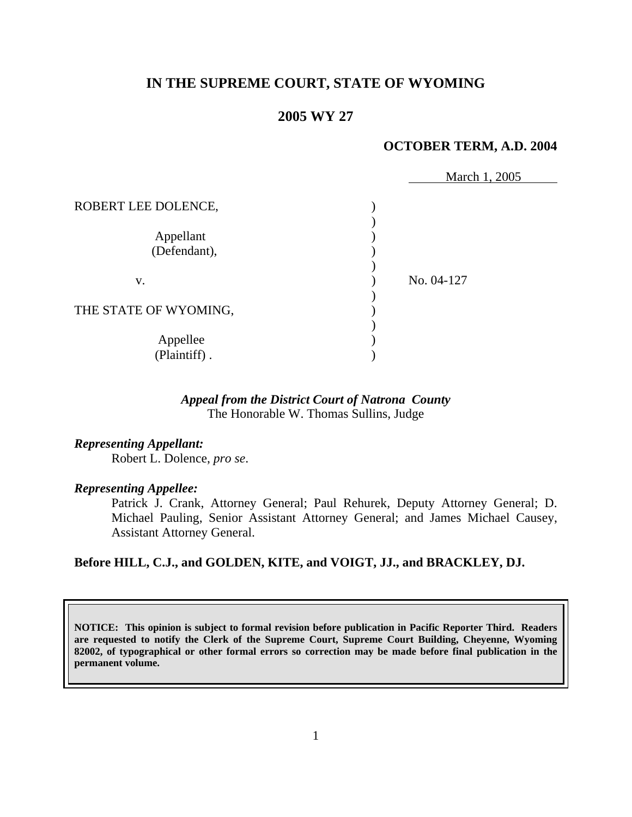# **IN THE SUPREME COURT, STATE OF WYOMING**

# **2005 WY 27**

#### **OCTOBER TERM, A.D. 2004**

|                           | March 1, 2005 |
|---------------------------|---------------|
| ROBERT LEE DOLENCE,       |               |
| Appellant<br>(Defendant), |               |
| V.                        | No. 04-127    |
| THE STATE OF WYOMING,     |               |
| Appellee<br>(Plaintiff).  |               |

# *Appeal from the District Court of Natrona County* The Honorable W. Thomas Sullins, Judge

*Representing Appellant:*

Robert L. Dolence, *pro se*.

# *Representing Appellee:*

 Patrick J. Crank, Attorney General; Paul Rehurek, Deputy Attorney General; D. Michael Pauling, Senior Assistant Attorney General; and James Michael Causey, Assistant Attorney General.

## **Before HILL, C.J., and GOLDEN, KITE, and VOIGT, JJ., and BRACKLEY, DJ.**

**NOTICE: This opinion is subject to formal revision before publication in Pacific Reporter Third. Readers are requested to notify the Clerk of the Supreme Court, Supreme Court Building, Cheyenne, Wyoming 82002, of typographical or other formal errors so correction may be made before final publication in the permanent volume.**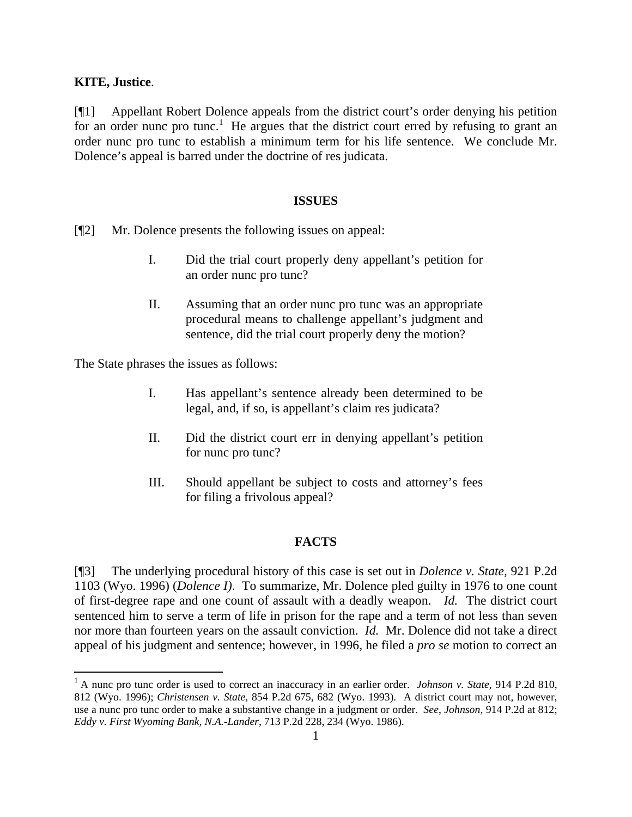## **KITE, Justice**.

 $\overline{a}$ 

[¶1] Appellant Robert Dolence appeals from the district court's order denying his petition for an order nunc pro tunc.<sup>[1](#page-1-0)</sup> He argues that the district court erred by refusing to grant an order nunc pro tunc to establish a minimum term for his life sentence. We conclude Mr. Dolence's appeal is barred under the doctrine of res judicata.

#### **ISSUES**

[¶2] Mr. Dolence presents the following issues on appeal:

- I. Did the trial court properly deny appellant's petition for an order nunc pro tunc?
- II. Assuming that an order nunc pro tunc was an appropriate procedural means to challenge appellant's judgment and sentence, did the trial court properly deny the motion?

The State phrases the issues as follows:

- I. Has appellant's sentence already been determined to be legal, and, if so, is appellant's claim res judicata?
- II. Did the district court err in denying appellant's petition for nunc pro tunc?
- III. Should appellant be subject to costs and attorney's fees for filing a frivolous appeal?

## **FACTS**

[¶3] The underlying procedural history of this case is set out in *Dolence v. State,* 921 P.2d 1103 (Wyo. 1996) (*Dolence I)*. To summarize, Mr. Dolence pled guilty in 1976 to one count of first-degree rape and one count of assault with a deadly weapon. *Id.* The district court sentenced him to serve a term of life in prison for the rape and a term of not less than seven nor more than fourteen years on the assault conviction. *Id.* Mr. Dolence did not take a direct appeal of his judgment and sentence; however, in 1996, he filed a *pro se* motion to correct an

<span id="page-1-0"></span><sup>&</sup>lt;sup>1</sup> A nunc pro tunc order is used to correct an inaccuracy in an earlier order. *Johnson v. State*, 914 P.2d 810, 812 (Wyo. 1996); *Christensen v. State,* 854 P.2d 675, 682 (Wyo. 1993). A district court may not, however, use a nunc pro tunc order to make a substantive change in a judgment or order. *See*, *Johnson,* 914 P.2d at 812; *Eddy v. First Wyoming Bank, N.A.-Lander,* 713 P.2d 228, 234 (Wyo. 1986).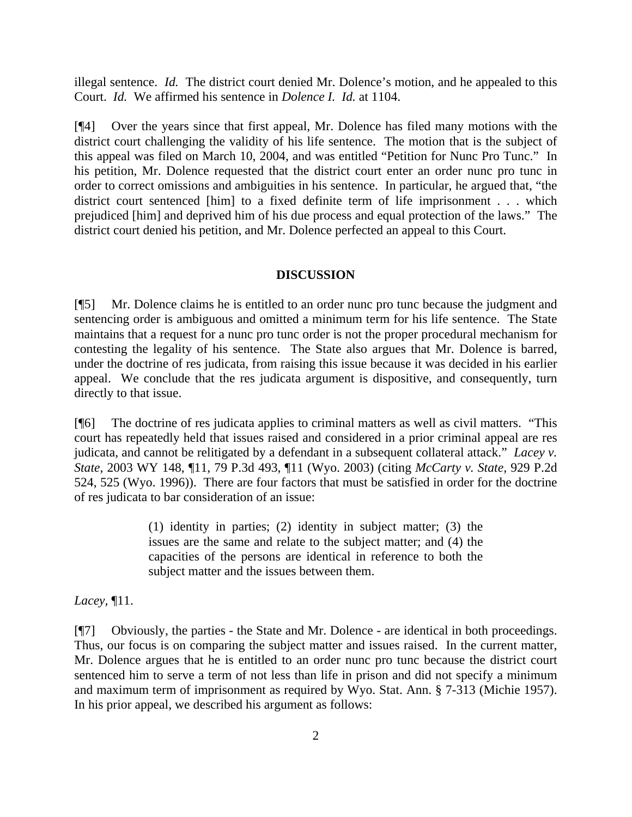illegal sentence. *Id.* The district court denied Mr. Dolence's motion, and he appealed to this Court. *Id.* We affirmed his sentence in *Dolence I. Id.* at 1104.

[¶4] Over the years since that first appeal, Mr. Dolence has filed many motions with the district court challenging the validity of his life sentence. The motion that is the subject of this appeal was filed on March 10, 2004, and was entitled "Petition for Nunc Pro Tunc." In his petition, Mr. Dolence requested that the district court enter an order nunc pro tunc in order to correct omissions and ambiguities in his sentence. In particular, he argued that, "the district court sentenced [him] to a fixed definite term of life imprisonment . . . which prejudiced [him] and deprived him of his due process and equal protection of the laws." The district court denied his petition, and Mr. Dolence perfected an appeal to this Court.

#### **DISCUSSION**

[¶5] Mr. Dolence claims he is entitled to an order nunc pro tunc because the judgment and sentencing order is ambiguous and omitted a minimum term for his life sentence. The State maintains that a request for a nunc pro tunc order is not the proper procedural mechanism for contesting the legality of his sentence. The State also argues that Mr. Dolence is barred, under the doctrine of res judicata, from raising this issue because it was decided in his earlier appeal. We conclude that the res judicata argument is dispositive, and consequently, turn directly to that issue.

[¶6] The doctrine of res judicata applies to criminal matters as well as civil matters. "This court has repeatedly held that issues raised and considered in a prior criminal appeal are res judicata, and cannot be relitigated by a defendant in a subsequent collateral attack." *Lacey v. State,* 2003 WY 148, ¶11, 79 P.3d 493, ¶11 (Wyo. 2003) (citing *McCarty v. State,* 929 P.2d 524, 525 (Wyo. 1996)). There are four factors that must be satisfied in order for the doctrine of res judicata to bar consideration of an issue:

> (1) identity in parties; (2) identity in subject matter; (3) the issues are the same and relate to the subject matter; and (4) the capacities of the persons are identical in reference to both the subject matter and the issues between them.

*Lacey,* ¶11.

[¶7] Obviously, the parties - the State and Mr. Dolence - are identical in both proceedings. Thus, our focus is on comparing the subject matter and issues raised. In the current matter, Mr. Dolence argues that he is entitled to an order nunc pro tunc because the district court sentenced him to serve a term of not less than life in prison and did not specify a minimum and maximum term of imprisonment as required by Wyo. Stat. Ann. § 7-313 (Michie 1957). In his prior appeal, we described his argument as follows: